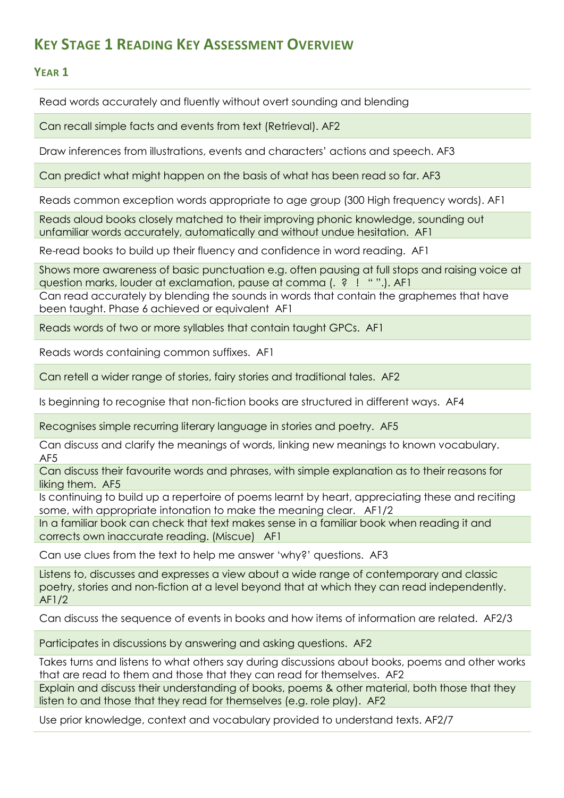## **KEY STAGE 1 READING KEY ASSESSMENT OVERVIEW**

## **YEAR 1**

Read words accurately and fluently without overt sounding and blending

Can recall simple facts and events from text (Retrieval). AF2

Draw inferences from illustrations, events and characters' actions and speech. AF3

Can predict what might happen on the basis of what has been read so far. AF3

Reads common exception words appropriate to age group (300 High frequency words). AF1

Reads aloud books closely matched to their improving phonic knowledge, sounding out unfamiliar words accurately, automatically and without undue hesitation. AF1

Re-read books to build up their fluency and confidence in word reading. AF1

Shows more awareness of basic punctuation e.g. often pausing at full stops and raising voice at question marks, louder at exclamation, pause at comma (. ? ! " ".). AF1

Can read accurately by blending the sounds in words that contain the graphemes that have been taught. Phase 6 achieved or equivalent AF1

Reads words of two or more syllables that contain taught GPCs. AF1

Reads words containing common suffixes. AF1

Can retell a wider range of stories, fairy stories and traditional tales. AF2

Is beginning to recognise that non-fiction books are structured in different ways. AF4

Recognises simple recurring literary language in stories and poetry. AF5

Can discuss and clarify the meanings of words, linking new meanings to known vocabulary. AF5

Can discuss their favourite words and phrases, with simple explanation as to their reasons for liking them. AF5

Is continuing to build up a repertoire of poems learnt by heart, appreciating these and reciting some, with appropriate intonation to make the meaning clear. AF1/2

In a familiar book can check that text makes sense in a familiar book when reading it and corrects own inaccurate reading. (Miscue) AF1

Can use clues from the text to help me answer 'why?' questions. AF3

Listens to, discusses and expresses a view about a wide range of contemporary and classic poetry, stories and non-fiction at a level beyond that at which they can read independently. AF1/2

Can discuss the sequence of events in books and how items of information are related. AF2/3

Participates in discussions by answering and asking questions. AF2

Takes turns and listens to what others say during discussions about books, poems and other works that are read to them and those that they can read for themselves. AF2

Explain and discuss their understanding of books, poems & other material, both those that they listen to and those that they read for themselves (e.g. role play). AF2

Use prior knowledge, context and vocabulary provided to understand texts. AF2/7